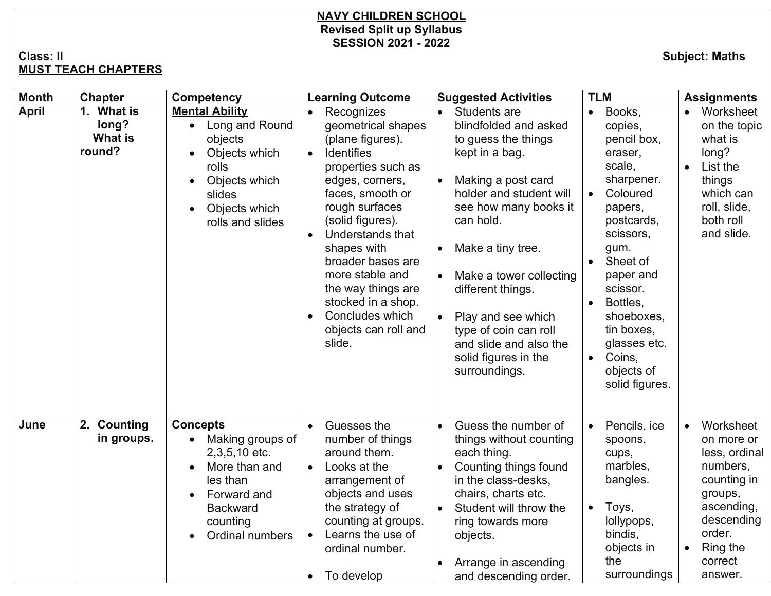## **NAVY CHILDREN SCHOOL Revised Split up Syllabus SESSION 2021 - 2022**

## **Class: II Subject: Maths MUST TEACH CHAPTERS**

| <b>Month</b> | <b>Chapter</b>                                  | <b>Competency</b>                                                                                                                                                            | <b>Learning Outcome</b>                                                                                                                                                                                                                                                                                                                                                                                      | <b>Suggested Activities</b>                                                                                                                                                                                                                                                                                                                                                                                      | <b>TLM</b>                                                                                                                                                                                                                                                                                                               | <b>Assignments</b>                                                                                                                                                  |
|--------------|-------------------------------------------------|------------------------------------------------------------------------------------------------------------------------------------------------------------------------------|--------------------------------------------------------------------------------------------------------------------------------------------------------------------------------------------------------------------------------------------------------------------------------------------------------------------------------------------------------------------------------------------------------------|------------------------------------------------------------------------------------------------------------------------------------------------------------------------------------------------------------------------------------------------------------------------------------------------------------------------------------------------------------------------------------------------------------------|--------------------------------------------------------------------------------------------------------------------------------------------------------------------------------------------------------------------------------------------------------------------------------------------------------------------------|---------------------------------------------------------------------------------------------------------------------------------------------------------------------|
| <b>April</b> | 1. What is<br>long?<br><b>What is</b><br>round? | <b>Mental Ability</b><br>• Long and Round<br>objects<br>Objects which<br>$\bullet$<br>rolls<br>Objects which<br>slides<br>Objects which<br>$\bullet$<br>rolls and slides     | Recognizes<br>$\bullet$<br>geometrical shapes<br>(plane figures).<br><b>Identifies</b><br>$\bullet$<br>properties such as<br>edges, corners,<br>faces, smooth or<br>rough surfaces<br>(solid figures).<br>Understands that<br>$\bullet$<br>shapes with<br>broader bases are<br>more stable and<br>the way things are<br>stocked in a shop.<br>Concludes which<br>$\bullet$<br>objects can roll and<br>slide. | Students are<br>blindfolded and asked<br>to guess the things<br>kept in a bag.<br>Making a post card<br>$\bullet$<br>holder and student will<br>see how many books it<br>can hold.<br>Make a tiny tree.<br>$\bullet$<br>Make a tower collecting<br>$\bullet$<br>different things.<br>Play and see which<br>$\bullet$<br>type of coin can roll<br>and slide and also the<br>solid figures in the<br>surroundings. | Books,<br>$\bullet$<br>copies,<br>pencil box,<br>eraser,<br>scale,<br>sharpener.<br>Coloured<br>$\bullet$<br>papers,<br>postcards,<br>scissors,<br>gum.<br>Sheet of<br>paper and<br>scissor.<br>Bottles,<br>$\bullet$<br>shoeboxes,<br>tin boxes,<br>glasses etc.<br>Coins,<br>$\bullet$<br>objects of<br>solid figures. | Worksheet<br>$\bullet$<br>on the topic<br>what is<br>long?<br>List the<br>things<br>which can<br>roll, slide,<br>both roll<br>and slide.                            |
| June         | 2. Counting<br>in groups.                       | <b>Concepts</b><br>Making groups of<br>$\bullet$<br>2,3,5,10 etc.<br>More than and<br>$\bullet$<br>les than<br>Forward and<br><b>Backward</b><br>counting<br>Ordinal numbers | Guesses the<br>number of things<br>around them.<br>Looks at the<br>$\bullet$<br>arrangement of<br>objects and uses<br>the strategy of<br>counting at groups.<br>Learns the use of<br>$\bullet$<br>ordinal number.<br>To develop<br>$\bullet$                                                                                                                                                                 | Guess the number of<br>things without counting<br>each thing.<br>Counting things found<br>$\bullet$<br>in the class-desks.<br>chairs, charts etc.<br>Student will throw the<br>$\bullet$<br>ring towards more<br>objects.<br>Arrange in ascending<br>and descending order.                                                                                                                                       | Pencils, ice<br>$\bullet$<br>spoons,<br>cups,<br>marbles,<br>bangles.<br>Toys,<br>$\bullet$<br>lollypops,<br>bindis,<br>objects in<br>the<br>surroundings                                                                                                                                                                | Worksheet<br>$\bullet$<br>on more or<br>less, ordinal<br>numbers,<br>counting in<br>groups,<br>ascending,<br>descending<br>order.<br>Ring the<br>correct<br>answer. |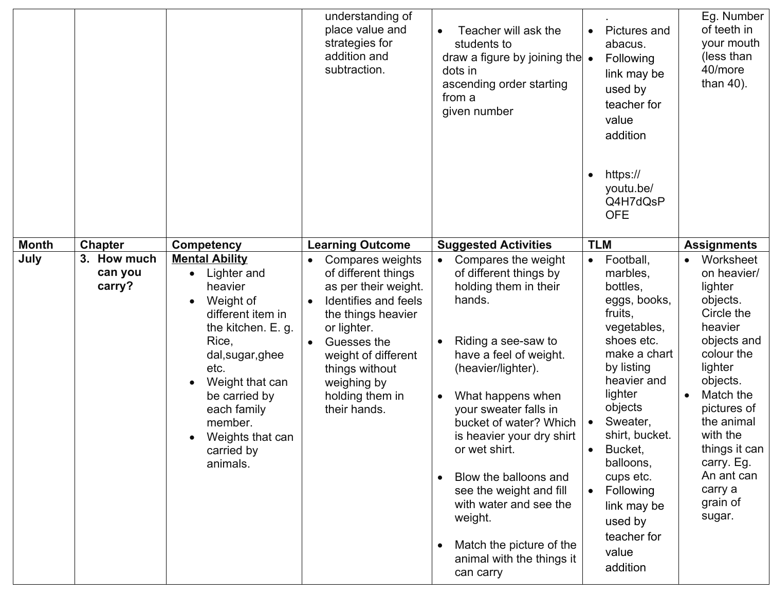|              |                                  |                                                                                                                                                                                                                                                                                    | understanding of<br>place value and<br>strategies for<br>addition and<br>subtraction.                                                                                                                                                               | Teacher will ask the<br>students to<br>draw a figure by joining the $\bullet$<br>dots in<br>ascending order starting<br>from a<br>given number                                                                                                                                                                                                                                                                                               | Pictures and<br>abacus.<br>Following<br>link may be<br>used by<br>teacher for<br>value<br>addition<br>https://<br>youtu.be/<br>Q4H7dQsP<br><b>OFE</b>                                                                                                                                                                                             | Eg. Number<br>of teeth in<br>your mouth<br>(less than<br>40/more<br>than $40$ ).                                                                                                                                                                                 |
|--------------|----------------------------------|------------------------------------------------------------------------------------------------------------------------------------------------------------------------------------------------------------------------------------------------------------------------------------|-----------------------------------------------------------------------------------------------------------------------------------------------------------------------------------------------------------------------------------------------------|----------------------------------------------------------------------------------------------------------------------------------------------------------------------------------------------------------------------------------------------------------------------------------------------------------------------------------------------------------------------------------------------------------------------------------------------|---------------------------------------------------------------------------------------------------------------------------------------------------------------------------------------------------------------------------------------------------------------------------------------------------------------------------------------------------|------------------------------------------------------------------------------------------------------------------------------------------------------------------------------------------------------------------------------------------------------------------|
| <b>Month</b> | <b>Chapter</b>                   | <b>Competency</b>                                                                                                                                                                                                                                                                  | <b>Learning Outcome</b>                                                                                                                                                                                                                             | <b>Suggested Activities</b>                                                                                                                                                                                                                                                                                                                                                                                                                  | <b>TLM</b>                                                                                                                                                                                                                                                                                                                                        | <b>Assignments</b>                                                                                                                                                                                                                                               |
| July         | 3. How much<br>can you<br>carry? | <b>Mental Ability</b><br>Lighter and<br>$\bullet$<br>heavier<br>Weight of<br>different item in<br>the kitchen. E. g.<br>Rice,<br>dal, sugar, ghee<br>etc.<br>Weight that can<br>be carried by<br>each family<br>member.<br>Weights that can<br>$\bullet$<br>carried by<br>animals. | Compares weights<br>of different things<br>as per their weight.<br>Identifies and feels<br>$\bullet$<br>the things heavier<br>or lighter.<br>Guesses the<br>weight of different<br>things without<br>weighing by<br>holding them in<br>their hands. | Compares the weight<br>of different things by<br>holding them in their<br>hands.<br>Riding a see-saw to<br>have a feel of weight.<br>(heavier/lighter).<br>What happens when<br>your sweater falls in<br>bucket of water? Which<br>is heavier your dry shirt<br>or wet shirt.<br>Blow the balloons and<br>see the weight and fill<br>with water and see the<br>weight.<br>Match the picture of the<br>animal with the things it<br>can carry | Football,<br>$\bullet$<br>marbles,<br>bottles,<br>eggs, books,<br>fruits,<br>vegetables,<br>shoes etc.<br>make a chart<br>by listing<br>heavier and<br>lighter<br>objects<br>Sweater,<br>$\bullet$<br>shirt, bucket.<br>Bucket,<br>balloons,<br>cups etc.<br>Following<br>$\bullet$<br>link may be<br>used by<br>teacher for<br>value<br>addition | Worksheet<br>on heavier/<br>lighter<br>objects.<br>Circle the<br>heavier<br>objects and<br>colour the<br>lighter<br>objects.<br>Match the<br>pictures of<br>the animal<br>with the<br>things it can<br>carry. Eg.<br>An ant can<br>carry a<br>grain of<br>sugar. |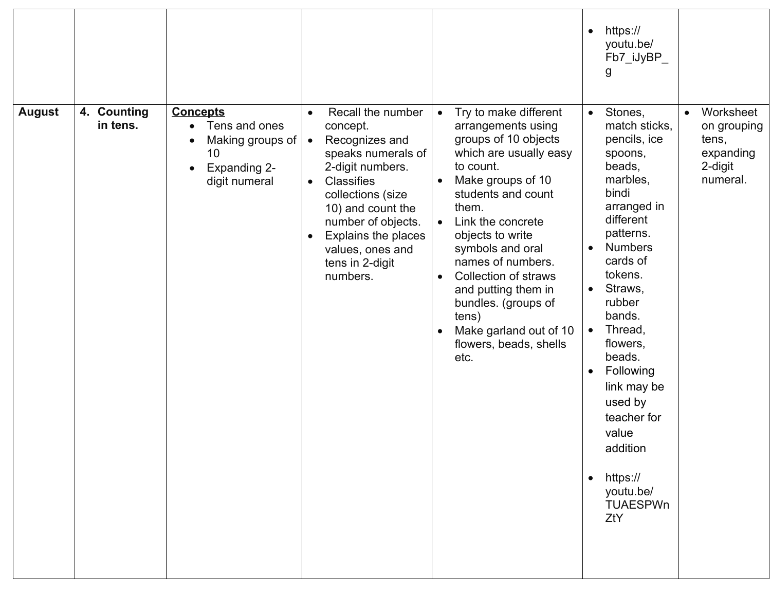|               |                         |                                                                                                                 |                                                                                                                                                                                                                                                                                                              |                                                                                                                                                                                                                                                                                                                                                                                                                                                                     | https://<br>$\bullet$<br>youtu.be/<br>Fb7_iJyBP_<br>g                                                                                                                                                                                                                                                                                                                                                                                            |                                                                                    |
|---------------|-------------------------|-----------------------------------------------------------------------------------------------------------------|--------------------------------------------------------------------------------------------------------------------------------------------------------------------------------------------------------------------------------------------------------------------------------------------------------------|---------------------------------------------------------------------------------------------------------------------------------------------------------------------------------------------------------------------------------------------------------------------------------------------------------------------------------------------------------------------------------------------------------------------------------------------------------------------|--------------------------------------------------------------------------------------------------------------------------------------------------------------------------------------------------------------------------------------------------------------------------------------------------------------------------------------------------------------------------------------------------------------------------------------------------|------------------------------------------------------------------------------------|
| <b>August</b> | 4. Counting<br>in tens. | <b>Concepts</b><br>Tens and ones<br>$\bullet$<br>Making groups of<br>10<br><b>Expanding 2-</b><br>digit numeral | Recall the number<br>$\bullet$<br>concept.<br>Recognizes and<br>$\bullet$<br>speaks numerals of<br>2-digit numbers.<br><b>Classifies</b><br>$\bullet$<br>collections (size<br>10) and count the<br>number of objects.<br>Explains the places<br>$\bullet$<br>values, ones and<br>tens in 2-digit<br>numbers. | Try to make different<br>$\bullet$<br>arrangements using<br>groups of 10 objects<br>which are usually easy<br>to count.<br>Make groups of 10<br>$\bullet$<br>students and count<br>them.<br>Link the concrete<br>$\bullet$<br>objects to write<br>symbols and oral<br>names of numbers.<br><b>Collection of straws</b><br>$\bullet$<br>and putting them in<br>bundles. (groups of<br>tens)<br>Make garland out of 10<br>$\bullet$<br>flowers, beads, shells<br>etc. | Stones,<br>$\bullet$<br>match sticks.<br>pencils, ice<br>spoons,<br>beads,<br>marbles,<br>bindi<br>arranged in<br>different<br>patterns.<br><b>Numbers</b><br>$\bullet$<br>cards of<br>tokens.<br>Straws,<br>$\bullet$<br>rubber<br>bands.<br>Thread,<br>$\bullet$<br>flowers,<br>beads.<br>Following<br>$\bullet$<br>link may be<br>used by<br>teacher for<br>value<br>addition<br>https://<br>$\bullet$<br>youtu.be/<br><b>TUAESPWn</b><br>ZtY | Worksheet<br>$\bullet$<br>on grouping<br>tens,<br>expanding<br>2-digit<br>numeral. |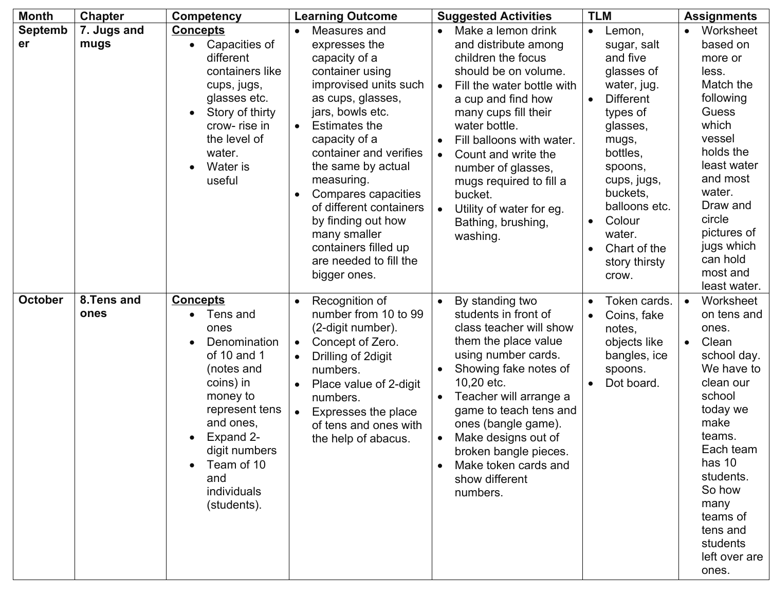| <b>Month</b>         | <b>Chapter</b>      | <b>Competency</b>                                                                                                                                                                                                         | <b>Learning Outcome</b>                                                                                                                                                                                                                                                                                                                                                                                                        | <b>Suggested Activities</b>                                                                                                                                                                                                                                                                                                                                                                                                          | <b>TLM</b>                                                                                                                                                                                                                                                                                  | <b>Assignments</b>                                                                                                                                                                                                                                               |
|----------------------|---------------------|---------------------------------------------------------------------------------------------------------------------------------------------------------------------------------------------------------------------------|--------------------------------------------------------------------------------------------------------------------------------------------------------------------------------------------------------------------------------------------------------------------------------------------------------------------------------------------------------------------------------------------------------------------------------|--------------------------------------------------------------------------------------------------------------------------------------------------------------------------------------------------------------------------------------------------------------------------------------------------------------------------------------------------------------------------------------------------------------------------------------|---------------------------------------------------------------------------------------------------------------------------------------------------------------------------------------------------------------------------------------------------------------------------------------------|------------------------------------------------------------------------------------------------------------------------------------------------------------------------------------------------------------------------------------------------------------------|
| <b>Septemb</b><br>er | 7. Jugs and<br>mugs | <b>Concepts</b><br>Capacities of<br>different<br>containers like<br>cups, jugs,<br>glasses etc.<br>Story of thirty<br>crow-rise in<br>the level of<br>water.<br>Water is<br>useful                                        | Measures and<br>$\bullet$<br>expresses the<br>capacity of a<br>container using<br>improvised units such<br>as cups, glasses,<br>jars, bowls etc.<br><b>Estimates the</b><br>$\bullet$<br>capacity of a<br>container and verifies<br>the same by actual<br>measuring.<br>Compares capacities<br>of different containers<br>by finding out how<br>many smaller<br>containers filled up<br>are needed to fill the<br>bigger ones. | Make a lemon drink<br>$\bullet$<br>and distribute among<br>children the focus<br>should be on volume.<br>Fill the water bottle with<br>$\bullet$<br>a cup and find how<br>many cups fill their<br>water bottle.<br>Fill balloons with water.<br>$\bullet$<br>Count and write the<br>$\bullet$<br>number of glasses,<br>mugs required to fill a<br>bucket.<br>Utility of water for eg.<br>$\bullet$<br>Bathing, brushing,<br>washing. | Lemon,<br>$\bullet$<br>sugar, salt<br>and five<br>glasses of<br>water, jug.<br><b>Different</b><br>$\bullet$<br>types of<br>glasses,<br>mugs,<br>bottles,<br>spoons,<br>cups, jugs,<br>buckets,<br>balloons etc.<br>Colour<br>$\bullet$<br>water.<br>Chart of the<br>story thirsty<br>crow. | Worksheet<br>$\bullet$<br>based on<br>more or<br>less.<br>Match the<br>following<br><b>Guess</b><br>which<br>vessel<br>holds the<br>least water<br>and most<br>water.<br>Draw and<br>circle<br>pictures of<br>jugs which<br>can hold<br>most and<br>least water. |
| <b>October</b>       | 8.Tens and<br>ones  | <b>Concepts</b><br>Tens and<br>ones<br>Denomination<br>of 10 and 1<br>(notes and<br>coins) in<br>money to<br>represent tens<br>and ones,<br>Expand 2-<br>digit numbers<br>Team of 10<br>and<br>individuals<br>(students). | Recognition of<br>number from 10 to 99<br>(2-digit number).<br>Concept of Zero.<br>$\bullet$<br>Drilling of 2digit<br>$\bullet$<br>numbers.<br>Place value of 2-digit<br>numbers.<br>Expresses the place<br>$\bullet$<br>of tens and ones with<br>the help of abacus.                                                                                                                                                          | By standing two<br>$\bullet$<br>students in front of<br>class teacher will show<br>them the place value<br>using number cards.<br>Showing fake notes of<br>$\bullet$<br>10,20 etc.<br>Teacher will arrange a<br>$\bullet$<br>game to teach tens and<br>ones (bangle game).<br>Make designs out of<br>$\bullet$<br>broken bangle pieces.<br>Make token cards and<br>$\bullet$<br>show different<br>numbers.                           | Token cards.<br>$\bullet$<br>Coins, fake<br>$\bullet$<br>notes,<br>objects like<br>bangles, ice<br>spoons.<br>Dot board.                                                                                                                                                                    | Worksheet<br>$\bullet$<br>on tens and<br>ones.<br>Clean<br>school day.<br>We have to<br>clean our<br>school<br>today we<br>make<br>teams.<br>Each team<br>has 10<br>students.<br>So how<br>many<br>teams of<br>tens and<br>students<br>left over are<br>ones.    |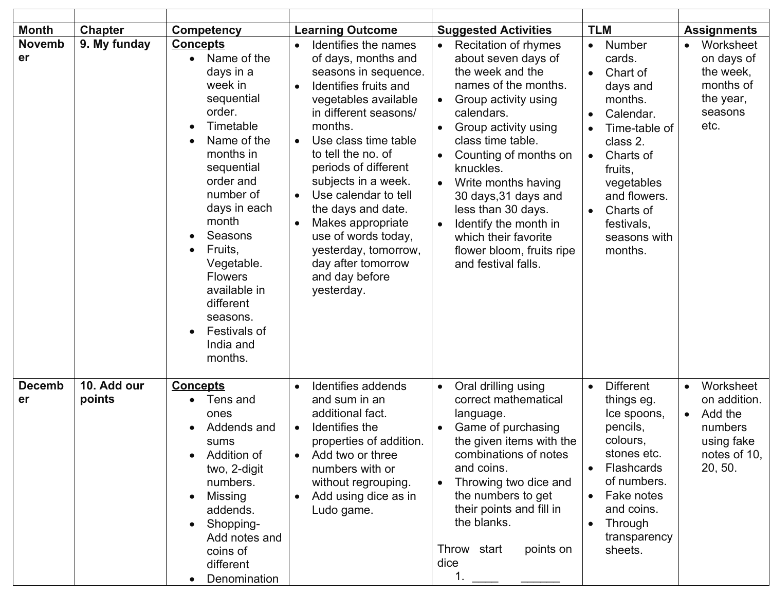| <b>Month</b>        | <b>Chapter</b>        | <b>Competency</b>                                                                                                                                                                                                                                                                                                                            | <b>Learning Outcome</b>                                                                                                                                                                                                                                                                                                                                                                                                                                                           | <b>Suggested Activities</b>                                                                                                                                                                                                                                                                                                                                                                                                                                                     | <b>TLM</b>                                                                                                                                                                                                                                       | <b>Assignments</b>                                                                                                 |
|---------------------|-----------------------|----------------------------------------------------------------------------------------------------------------------------------------------------------------------------------------------------------------------------------------------------------------------------------------------------------------------------------------------|-----------------------------------------------------------------------------------------------------------------------------------------------------------------------------------------------------------------------------------------------------------------------------------------------------------------------------------------------------------------------------------------------------------------------------------------------------------------------------------|---------------------------------------------------------------------------------------------------------------------------------------------------------------------------------------------------------------------------------------------------------------------------------------------------------------------------------------------------------------------------------------------------------------------------------------------------------------------------------|--------------------------------------------------------------------------------------------------------------------------------------------------------------------------------------------------------------------------------------------------|--------------------------------------------------------------------------------------------------------------------|
| <b>Novemb</b><br>er | 9. My funday          | <b>Concepts</b><br>Name of the<br>days in a<br>week in<br>sequential<br>order.<br>Timetable<br>$\bullet$<br>Name of the<br>months in<br>sequential<br>order and<br>number of<br>days in each<br>month<br>Seasons<br>Fruits,<br>Vegetable.<br><b>Flowers</b><br>available in<br>different<br>seasons.<br>Festivals of<br>India and<br>months. | Identifies the names<br>of days, months and<br>seasons in sequence.<br>Identifies fruits and<br>$\bullet$<br>vegetables available<br>in different seasons/<br>months.<br>Use class time table<br>$\bullet$<br>to tell the no. of<br>periods of different<br>subjects in a week.<br>Use calendar to tell<br>$\bullet$<br>the days and date.<br>Makes appropriate<br>$\bullet$<br>use of words today,<br>yesterday, tomorrow,<br>day after tomorrow<br>and day before<br>yesterday. | <b>Recitation of rhymes</b><br>$\bullet$<br>about seven days of<br>the week and the<br>names of the months.<br>Group activity using<br>$\bullet$<br>calendars.<br>Group activity using<br>$\bullet$<br>class time table.<br>Counting of months on<br>$\bullet$<br>knuckles.<br>Write months having<br>$\bullet$<br>30 days, 31 days and<br>less than 30 days.<br>Identify the month in<br>$\bullet$<br>which their favorite<br>flower bloom, fruits ripe<br>and festival falls. | Number<br>$\bullet$<br>cards.<br>Chart of<br>days and<br>months.<br>Calendar.<br>Time-table of<br>class 2.<br>Charts of<br>$\bullet$<br>fruits,<br>vegetables<br>and flowers.<br>Charts of<br>$\bullet$<br>festivals,<br>seasons with<br>months. | Worksheet<br>$\bullet$<br>on days of<br>the week,<br>months of<br>the year,<br>seasons<br>etc.                     |
| <b>Decemb</b><br>er | 10. Add our<br>points | <b>Concepts</b><br>Tens and<br>ones<br>Addends and<br>sums<br>Addition of<br>two, 2-digit<br>numbers.<br><b>Missing</b><br>$\bullet$<br>addends.<br>Shopping-<br>Add notes and<br>coins of<br>different<br>Denomination                                                                                                                      | Identifies addends<br>and sum in an<br>additional fact.<br>Identifies the<br>$\bullet$<br>properties of addition.<br>Add two or three<br>numbers with or<br>without regrouping.<br>Add using dice as in<br>Ludo game.                                                                                                                                                                                                                                                             | Oral drilling using<br>$\bullet$<br>correct mathematical<br>language.<br>Game of purchasing<br>$\bullet$<br>the given items with the<br>combinations of notes<br>and coins.<br>Throwing two dice and<br>the numbers to get<br>their points and fill in<br>the blanks.<br>Throw start<br>points on<br>dice                                                                                                                                                                       | <b>Different</b><br>$\bullet$<br>things eg.<br>Ice spoons,<br>pencils,<br>colours.<br>stones etc.<br><b>Flashcards</b><br>of numbers.<br>Fake notes<br>$\bullet$<br>and coins.<br>Through<br>transparency<br>sheets.                             | Worksheet<br>$\bullet$<br>on addition.<br>Add the<br>$\bullet$<br>numbers<br>using fake<br>notes of 10,<br>20, 50. |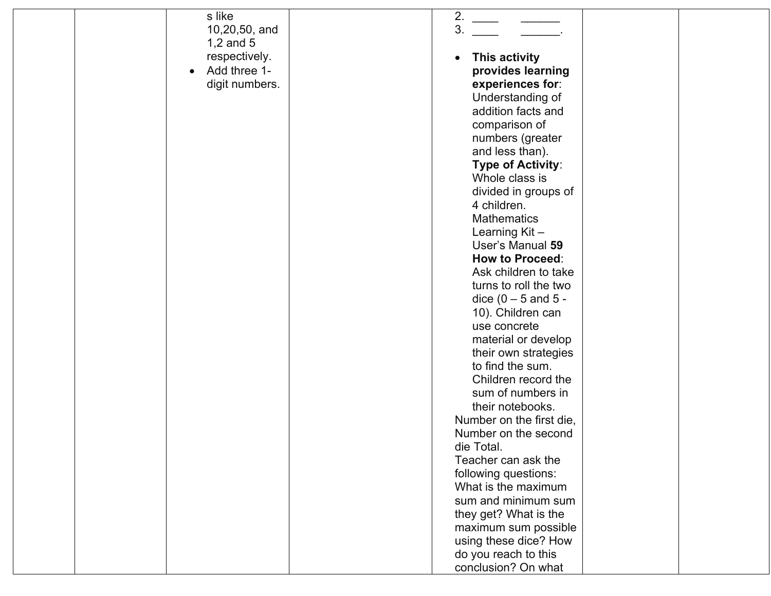| s like<br>10,20,50, and   | 2.<br>3.                                      |  |
|---------------------------|-----------------------------------------------|--|
| 1,2 and $5$               |                                               |  |
| respectively.             | This activity<br>$\bullet$                    |  |
| Add three 1-<br>$\bullet$ | provides learning                             |  |
| digit numbers.            | experiences for:                              |  |
|                           | Understanding of                              |  |
|                           | addition facts and                            |  |
|                           | comparison of                                 |  |
|                           |                                               |  |
|                           | numbers (greater<br>and less than).           |  |
|                           |                                               |  |
|                           | Type of Activity:<br>Whole class is           |  |
|                           |                                               |  |
|                           | divided in groups of<br>4 children.           |  |
|                           | <b>Mathematics</b>                            |  |
|                           |                                               |  |
|                           | Learning Kit-<br>User's Manual 59             |  |
|                           | <b>How to Proceed:</b>                        |  |
|                           |                                               |  |
|                           | Ask children to take<br>turns to roll the two |  |
|                           |                                               |  |
|                           | dice $(0 - 5$ and $5 -$                       |  |
|                           | 10). Children can                             |  |
|                           | use concrete                                  |  |
|                           | material or develop                           |  |
|                           | their own strategies                          |  |
|                           | to find the sum.<br>Children record the       |  |
|                           |                                               |  |
|                           | sum of numbers in                             |  |
|                           | their notebooks.                              |  |
|                           | Number on the first die,                      |  |
|                           | Number on the second<br>die Total.            |  |
|                           | Teacher can ask the                           |  |
|                           |                                               |  |
|                           | following questions:                          |  |
|                           | What is the maximum                           |  |
|                           | sum and minimum sum                           |  |
|                           | they get? What is the                         |  |
|                           | maximum sum possible                          |  |
|                           | using these dice? How                         |  |
|                           | do you reach to this                          |  |
|                           | conclusion? On what                           |  |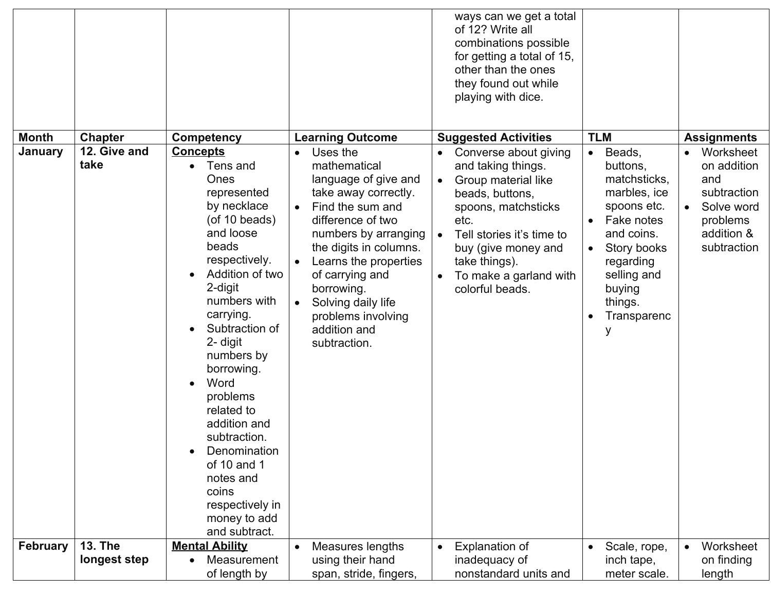|                 |                      |                                                                                                                                                                                                                                                                                                                                                                                                                           |                                                                                                                                                                                                                                                                                                                                     | ways can we get a total<br>of 12? Write all<br>combinations possible<br>for getting a total of 15,<br>other than the ones<br>they found out while<br>playing with dice.                                                                                          |                                                                                                                                                                                           |                                                                                                                                 |
|-----------------|----------------------|---------------------------------------------------------------------------------------------------------------------------------------------------------------------------------------------------------------------------------------------------------------------------------------------------------------------------------------------------------------------------------------------------------------------------|-------------------------------------------------------------------------------------------------------------------------------------------------------------------------------------------------------------------------------------------------------------------------------------------------------------------------------------|------------------------------------------------------------------------------------------------------------------------------------------------------------------------------------------------------------------------------------------------------------------|-------------------------------------------------------------------------------------------------------------------------------------------------------------------------------------------|---------------------------------------------------------------------------------------------------------------------------------|
| <b>Month</b>    | <b>Chapter</b>       | <b>Competency</b>                                                                                                                                                                                                                                                                                                                                                                                                         | <b>Learning Outcome</b>                                                                                                                                                                                                                                                                                                             | <b>Suggested Activities</b>                                                                                                                                                                                                                                      | <b>TLM</b>                                                                                                                                                                                | <b>Assignments</b>                                                                                                              |
| January         | 12. Give and<br>take | <b>Concepts</b><br>Tens and<br>Ones<br>represented<br>by necklace<br>(of 10 beads)<br>and loose<br>beads<br>respectively.<br>Addition of two<br>2-digit<br>numbers with<br>carrying.<br>Subtraction of<br>2- digit<br>numbers by<br>borrowing.<br>Word<br>problems<br>related to<br>addition and<br>subtraction.<br>Denomination<br>of 10 and 1<br>notes and<br>coins<br>respectively in<br>money to add<br>and subtract. | Uses the<br>mathematical<br>language of give and<br>take away correctly.<br>Find the sum and<br>$\bullet$<br>difference of two<br>numbers by arranging<br>the digits in columns.<br>Learns the properties<br>of carrying and<br>borrowing.<br>Solving daily life<br>$\bullet$<br>problems involving<br>addition and<br>subtraction. | Converse about giving<br>and taking things.<br>Group material like<br>$\bullet$<br>beads, buttons,<br>spoons, matchsticks<br>etc.<br>Tell stories it's time to<br>$\bullet$<br>buy (give money and<br>take things).<br>To make a garland with<br>colorful beads. | Beads,<br>$\bullet$<br>buttons,<br>matchsticks,<br>marbles, ice<br>spoons etc.<br>Fake notes<br>and coins.<br>Story books<br>regarding<br>selling and<br>buying<br>things.<br>Transparenc | Worksheet<br>$\bullet$<br>on addition<br>and<br>subtraction<br>Solve word<br>$\bullet$<br>problems<br>addition &<br>subtraction |
| <b>February</b> | <b>13. The</b>       | <b>Mental Ability</b>                                                                                                                                                                                                                                                                                                                                                                                                     | Measures lengths                                                                                                                                                                                                                                                                                                                    | <b>Explanation of</b>                                                                                                                                                                                                                                            | Scale, rope,                                                                                                                                                                              | Worksheet                                                                                                                       |
|                 | longest step         | Measurement<br>of length by                                                                                                                                                                                                                                                                                                                                                                                               | using their hand<br>span, stride, fingers,                                                                                                                                                                                                                                                                                          | inadequacy of<br>nonstandard units and                                                                                                                                                                                                                           | inch tape,<br>meter scale.                                                                                                                                                                | on finding<br>length                                                                                                            |